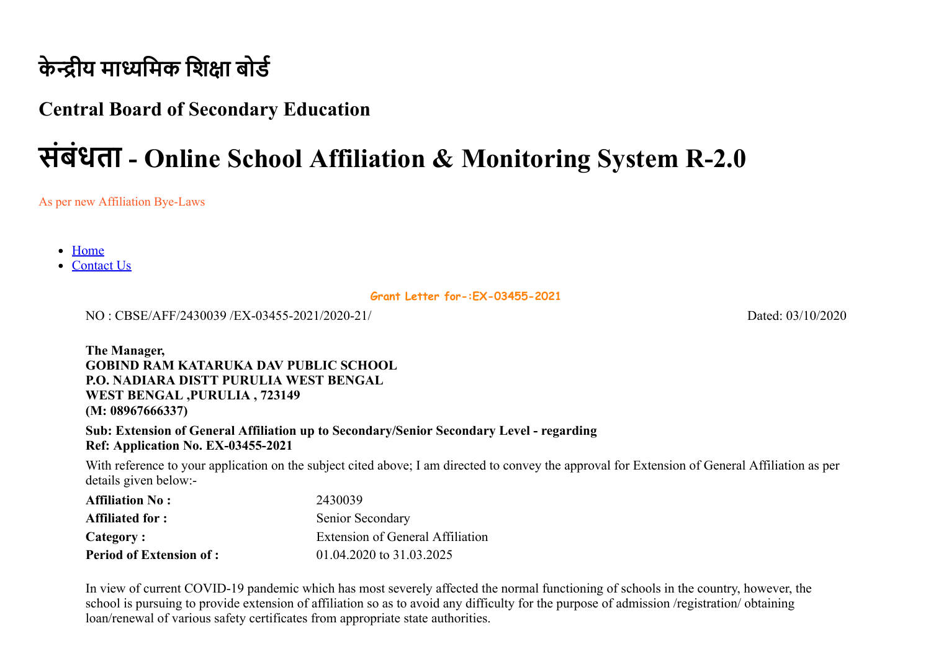## **केन्द्रीय माध्यमिक शिक्षा बोर्ड**

### **Central Board of Secondary Education**

# **संबंधता - Online School Affiliation & Monitoring System R-2.0**

As per new Affiliation Bye-Laws

• [Home](http://cbseaff.nic.in/cbse_aff/Welcome.aspx)

• [Contact Us](http://cbseaff.nic.in/cbse_aff/help.aspx)

**Grant Letter for-:EX-03455-2021**

NO : CBSE/AFF/2430039 /EX-03455-2021/2020-21/ Dated: 03/10/2020

**The Manager, GOBIND RAM KATARUKA DAV PUBLIC SCHOOL P.O. NADIARA DISTT PURULIA WEST BENGAL WEST BENGAL ,PURULIA , 723149 (M: 08967666337)** 

**Sub: Extension of General Affiliation up to Secondary/Senior Secondary Level - regarding Ref: Application No. EX-03455-2021**

With reference to your application on the subject cited above; I am directed to convey the approval for Extension of General Affiliation as per details given below:-

| <b>Affiliation No:</b>         | 2430039                          |
|--------------------------------|----------------------------------|
| <b>Affiliated for :</b>        | Senior Secondary                 |
| Category:                      | Extension of General Affiliation |
| <b>Period of Extension of:</b> | 01.04.2020 to 31.03.2025         |

In view of current COVID-19 pandemic which has most severely affected the normal functioning of schools in the country, however, the school is pursuing to provide extension of affiliation so as to avoid any difficulty for the purpose of admission /registration/ obtaining loan/renewal of various safety certificates from appropriate state authorities.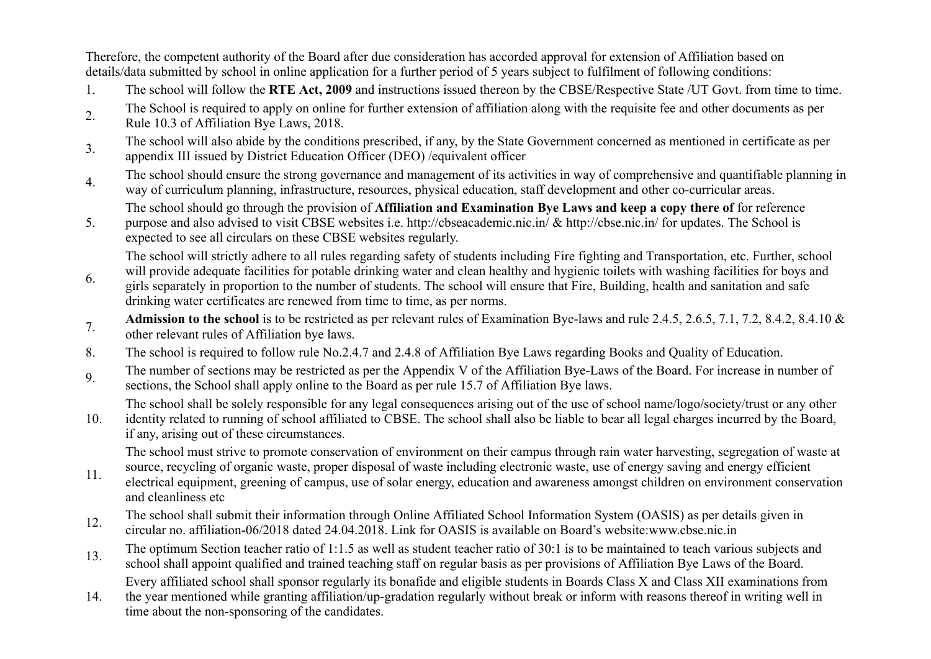Therefore, the competent authority of the Board after due consideration has accorded approval for extension of Affiliation based on details/data submitted by school in online application for a further period of 5 years subject to fulfilment of following conditions:

- 1. The school will follow the **RTE Act, 2009** and instructions issued thereon by the CBSE/Respective State /UT Govt. from time to time.
- 2. The School is required to apply on online for further extension of affiliation along with the requisite fee and other documents as per Rule 10.3 of Affiliation Bye Laws, 2018.
- 3. The school will also abide by the conditions prescribed, if any, by the State Government concerned as mentioned in certificate as per appendix III issued by District Education Officer (DEO) /equivalent officer
- 4. The school should ensure the strong governance and management of its activities in way of comprehensive and quantifiable planning in way of curriculum planning, infrastructure, resources, physical education, staff development and other co-curricular areas.
	- The school should go through the provision of **Affiliation and Examination Bye Laws and keep a copy there of** for reference
- 5. purpose and also advised to visit CBSE websites i.e. http://cbseacademic.nic.in/ & http://cbse.nic.in/ for updates. The School is expected to see all circulars on these CBSE websites regularly.

The school will strictly adhere to all rules regarding safety of students including Fire fighting and Transportation, etc. Further, school will provide adequate facilities for potable drinking water and clean healthy and hygienic toilets with washing facilities for boys and

- 6. girls separately in proportion to the number of students. The school will ensure that Fire, Building, health and sanitation and safe drinking water certificates are renewed from time to time, as per norms.
- **Admission to the school** is to be restricted as per relevant rules of Examination Bye-laws and rule 2.4.5, 2.6.5, 7.1, 7.2, 8.4.2, 8.4.10 & other relevant rules of Affiliation bye laws.
- 8. The school is required to follow rule No.2.4.7 and 2.4.8 of Affiliation Bye Laws regarding Books and Quality of Education.
- 9. The number of sections may be restricted as per the Appendix V of the Affiliation Bye-Laws of the Board. For increase in number of sections, the School shall apply online to the Board as per rule 15.7 of Affiliation Bye laws.

The school shall be solely responsible for any legal consequences arising out of the use of school name/logo/society/trust or any other

10. identity related to running of school affiliated to CBSE. The school shall also be liable to bear all legal charges incurred by the Board, if any, arising out of these circumstances.

The school must strive to promote conservation of environment on their campus through rain water harvesting, segregation of waste at

- 11. source, recycling of organic waste, proper disposal of waste including electronic waste, use of energy saving and energy efficient electrical equipment, greening of campus, use of solar energy, education and awareness amongst children on environment conservation and cleanliness etc
- 12. The school shall submit their information through Online Affiliated School Information System (OASIS) as per details given in
- circular no. affiliation-06/2018 dated 24.04.2018. Link for OASIS is available on Board's website:www.cbse.nic.in
- 13. The optimum Section teacher ratio of 1:1.5 as well as student teacher ratio of 30:1 is to be maintained to teach various subjects and school shall appoint qualified and trained teaching staff on regular basis as per provisions of Affiliation Bye Laws of the Board. Every affiliated school shall sponsor regularly its bonafide and eligible students in Boards Class X and Class XII examinations from
- 14. the year mentioned while granting affiliation/up-gradation regularly without break or inform with reasons thereof in writing well in time about the non-sponsoring of the candidates.